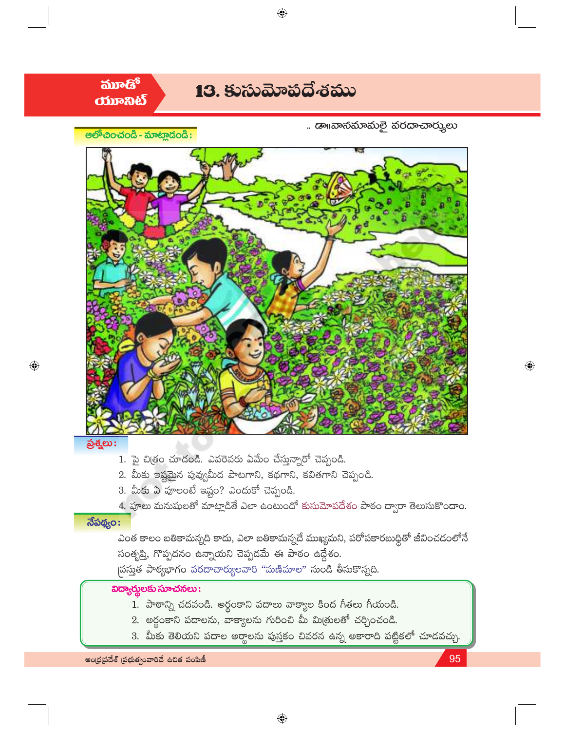

- 1. పై చిత్రం చూదండి. ఎవరెవరు ఏమేం చేస్తున్నారో చెప్పండి.
- 2. మీకు ఇష్టమైన పువ్వుమీద పాటగాని, కథగాని, కవితగాని చెప్పండి.
- 3. మీకు ఏ పూలంటే ఇష్టం? ఎందుకో చెప్పండి.
- 4. పూలు మనుషులతో మాట్లాడితే ఎలా ఉంటుందో కుసుమోపదేశం పాఠం ద్వారా తెలుసుకొందాం.

 $\bigoplus$ 

95

## నేపథ్యం:

 $\bigoplus$ 

.<br>ఎంత కాలం బతికామన్నది కాదు, ఎలా బతికామన్నదే ముఖ్యమని, పరోపకారబుధ్ధితో జీవించడంలోనే సంతృప్తి, గొప్పదనం ఉన్నాయని చెప్పడమే ఈ పాఠం ఉద్దేశం. చస్తుత పాఠ్యభాగం వరదాచార్యులవారి "మణిమాల" నుండి తీసుకొన్నది.

## విద్యార్శలకు సూచనలు:

- 1. పాఠాన్ని చదవండి. అర్థంకాని పదాలు వాక్యాల కింద గీతలు గీయండి.
- 2. అర్థంకాని పదాలను, వాక్యాలను గురించి మీ మిత్రులతో చర్చించండి.
- 3. మీకు తెలియని పదాల అర్థాలను పుస్తకం చివరన ఉన్న అకారాది పట్టికలో చూడవచ్చు.

ఆంధ్రప్రదేశ్ (పభుత్వంవారిచే ఉచిత పంపిణీ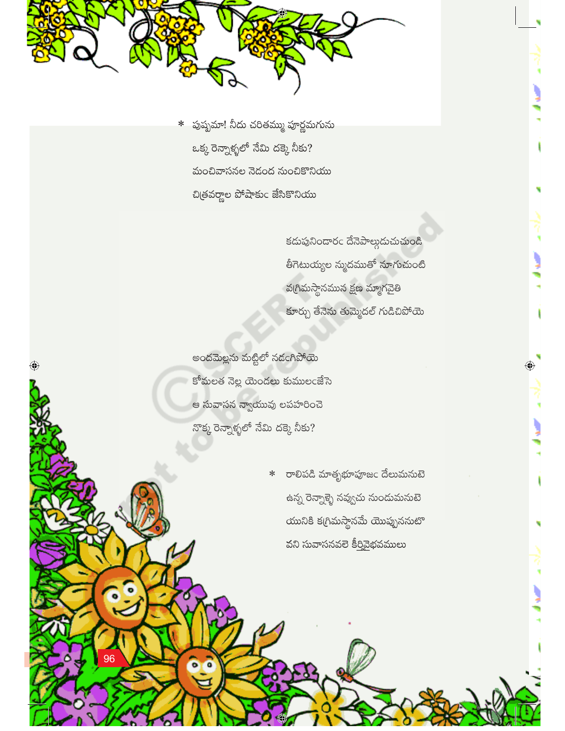

 $\ast$  పుష్పమా! నీదు చరితమ్ము పూర్ణమగును ఒక్క రెన్నాళ్ళలో నేమి దక్కె నీకు? మంచివాసనల నెడంద నుంచికొనియు చిత్రవర్ణాల పోషాకుఁ జేసికొనియు

> కదుపునిందారం దేనెపాల్గదుచుచుండి తీగెటుయ్యల స్ముదముతో <mark>నూగుచుం</mark>టి వ(గిమస్థానమున క్షణ మ్మాగవైతి కూర్చు తేనెను తుమ్మెదల్ గుడిచిపోయె

> > $\textcolor{black}{\textcircled{\ell}}$

అందమెల్లను మట్టిలో నడంగిపోయె కోమలత నెల్ల యెందలు కుములంజేసె ఆ సువాసన న్వాయువు లపహరించె నొక్క రెన్నాళ్ళలో నేమి దక్కె నీకు?

 $\bullet$ 

 $\textcolor{black}{\textcolor{black}{\bigcirc}}$ 

 $\ast$  రాలిపడి మాతృభూపూజ $\,$ c దేలుమనుటె ఉన్న రెన్నాళ్ళె నవ్వుచు నుందుమనుటె యునికి క(గిమస్థానమే యొప్పుననుటొ వని సువాసనవలె కీర్తివైభవములు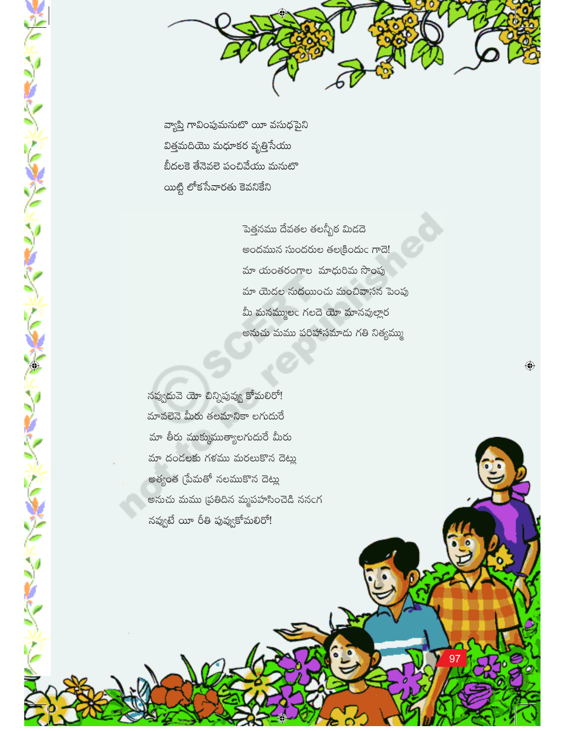

వ్యాప్తి గావింపుమనుటొ యీ వసుధపైని విత్తమదియొ మధూకర వృత్తిసేయు బీదలకె తేనెవలె పంచివేయు మనుటొ యిట్టి లోకసేవారతు కెవనికేని

水道的人

పెత్తనము దేవతల తలన్భీఠ మిడదె అందమున సుందరుల తలక్రిందుం గాదె! మా యంతరంగాల మాధురిమ సొంపు మా యెదల సుదయించు మంచివాసన పెంపు మీ మనమ్ములం గలదె యో మానవుల్లార అనుచు మము పరిహాసమాడు గతి నిత్యమ్ము

 $\bigoplus$ 

నవ్వుదువె యో చిన్నిపువ్వు కోమలిరో! మావలెనె మీరు తలమానికా లగుదురే మా తీరు ముక్కుముత్యాలగుదురే మీరు మా దండలకు గళము మరలుకొన దెట్లు అత్యంత (పేమతో నలముకొన దెట్లు అనుచు మము (పతిదిన మ్మపహసించెడి ననంగ నవ్వుటే యీ రీతి పువ్వుకోమలిరో!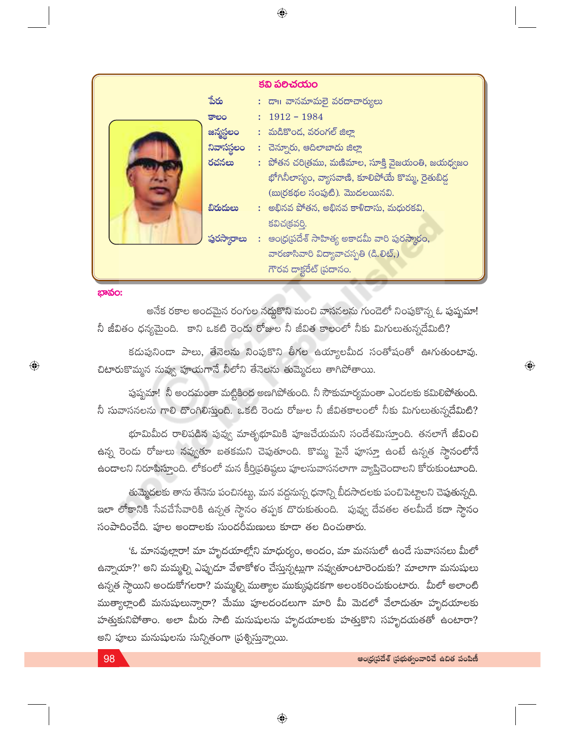|            | కవి పలిచయం                                                |
|------------|-----------------------------------------------------------|
| ేపరు       | : దా॥ వానమామలై వరదాచార్యులు                               |
| కాలం       | $: 1912 - 1984$                                           |
| జన్మస్థలం  | : మడికొండ, వరంగల్ జిల్లా                                  |
| నివాసస్థలం | : చెన్నూరు, ఆదిలాబాదు జిల్లా                              |
| రచనలు      | : పోతన చరిత్రము, మణిమాల, సూక్తి వైజయంతి, జయధ్వజం          |
|            | భోగినీలాస్యం, వ్యాసవాణి, కూలిపోయే కొమ్మ, రైతుబిడ్డ        |
|            | (బుర్రకథల సంపుటి). మొదలయినవి.                             |
| బిరుదులు   | : అభినవ పోతన, అభినవ కాళిదాసు, మధురకవి,                    |
|            | కవిచ(కవరి.                                                |
|            | పురస్మారాలు : ఆంధ్రప్రదేశ్ సాహిత్య అకాడమీ వారి పురస్కారం, |
|            | వారణాసివారి విద్యావాచస్పతి (డి. లిట్,)                    |
|            | గౌరవ దాక్టరేట్ (పదానం.                                    |

ಭಾನಂ:

 $\bigcirc$ 

అనేక రకాల అందమైన రంగుల నద్దుకొని మంచి వాసనలను గుండెలో నింపుకొన్న ఓ పుష్పమా! నీ జీవితం ధన్యమైంది. కాని ఒకటి రెండు రోజుల నీ జీవిత కాలంలో నీకు మిగులుతున్నదేమిటి?

కడుపునిండా పాలు, తేనెలను నింపుకొని తీగల ఉయ్యాలమీద సంతోషంతో ఊగుతుంటావు. చిటారుకొమ్మన నువ్వు పూయగానే నీలోని తేనెలను తుమ్మెదలు తాగిపోతాయి.

పుష్పమా!్నీ అందమంతా మట్టికింద అణగిపోతుంది. నీ సౌకుమార్యమంతా ఎందలకు కమిలిపోతుంది. నీ సువాసనలను గాలి దొంగిలిస్తుంది. ఒకటి రెండు రోజుల నీ జీవితకాలంలో నీకు మిగులుతున్నదేమిటి?

భూమిమీద రాలిపడిన పువ్వ మాతృభూమికి పూజచేయమని సందేశమిస్తూంది. తనలాగే జీవించి ఉన్న రెండు రోజులు నవ్వుతూ బతకమని చెపుతూంది. కొమ్మ పైనే పూస్తూ ఉంటే ఉన్నత స్థానంలోనే ఉండాలని నిరూపిస్తూంది. లోకంలో మన కీర్తిప్రతిష్ఠలు పూలసువాసనలాగా వ్యాప్తిచెందాలని కోరుకుంటూంది.

తుమ్మెదలకు తాను తేనెను పంచినట్టు, మన వద్దనున్న ధనాన్ని బీదసాదలకు పంచిపెట్టాలని చెపుతున్నది. ఇలా లోకానికి సేవచేసేవారికి ఉన్నత స్థానం తప్పక దొరుకుతుంది. పువ్వు దేవతల తలమీదే కదా స్థానం సంపాదించేది. పూల అందాలకు సుందరీమణులు కూడా తల దించుతారు.

'ఓ మానవుల్లారా! మా హృదయాల్లోని మాధుర్యం, అందం, మా మనసులో ఉందే సువాసనలు మీలో ఉన్నాయా?' అని మమ్మల్ని ఎప్పుడూ వేళాకోళం చేస్తున్నట్లుగా నవ్వుతూంటారెందుకు? మాలాగా మనుషులు ఉన్నత స్థాయిని అందుకోగలరా? మమ్మల్ని ముత్యాల ముక్కుపుడకగా అలంకరించుకుంటారు. మీలో అలాంటి ముత్యాల్లాంటి మనుషులున్నారా? మేము పూలదండలుగా మారి మీ మెడలో వేలాదుతూ హృదయాలకు హత్తుకునిపోతాం. అలా మీరు సాటి మనుషులను హృదయాలకు హత్తుకొని సహృదయతతో ఉంటారా? అని పూలు మనుషులను సున్నితంగా (పశ్నిస్తున్నాయి.

 $\bigoplus$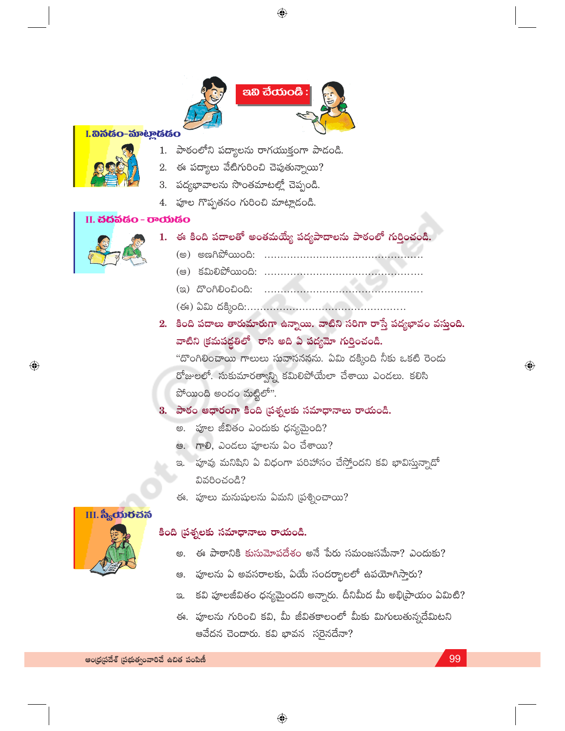

### <mark>I. ನಿನೆಡೆಂ-ಮಾ</mark>ಟ್ಲಾಡೆಡೆಂ

- 1. పాఠంలోని పద్యాలను రాగయుక్తంగా పాడండి.
- ఈ పద్యాలు వేటిగురించి చెపుతున్నాయి? 2.
- 3. పద్యభావాలను సొంతమాటల్లో చెప్పండి.
- 4. పూల గొప్పతనం గురించి మాట్లాడండి.

#### II. **చద్దనడం - రాయడం**



 $\bigoplus$ 

- 1. ఈ కింది పదాలతో అంతమయ్యే పద్యపాదాలను పాఠంలో గుర్తించండి.
	-
	-
	-
	-
- 2. కింది పదాలు తారుమారుగా ఉన్నాయి. వాటిని సరిగా రాస్తే పద్యభావం వస్తుంది. వాటిని క్రమపద్ధతిలో రాసి అది ఏ పద్యమో గుర్తించండి.

"దొంగిలించాయి గాలులు సువాసననను. ఏమి దక్కింది నీకు ఒకటి రెండు రోజులలో. సుకుమారత్వాన్ని కమిలిపోయేలా చేశాయి ఎండలు. కలిసి పోయింది అందం మట్టిలో".

## 3. పాఠం ఆధారంగా కింది ప్రశ్నలకు సమాధానాలు రాయండి.

- అ. పూల జీవితం ఎందుకు ధన్యమైంది?
- ఆ. గాలి, ఎండలు పూలను ఏం చేశాయి?
- పూవు మనిషిని ఏ విధంగా పరిహాసం చేస్తోందని కవి భావిస్తున్నాదో వివరించండి?
- ఈ. పూలు మనుషులను ఏమని (పశ్నించాయి?

## $\overline{\textbf{H}}$ . స్వీయరచన



#### కింది డ్రశ్నలకు సమాధానాలు రాయండి.

- ఈ పాఠానికి కుసుమోపదేశం అనే పేరు సమంజసమేనా? ఎందుకు? అ.
- ఆ. పూలను ఏ అవసరాలకు, ఏయే సందర్భాలలో ఉపయోగిస్తారు?
- కవి పూలజీవితం ధన్యమైందని అన్నారు. దీనిమీద మీ అభి[పాయం ఏమిటి? ප.
- ఈ. పూలను గురించి కవి, మీ జీవితకాలంలో మీకు మిగులుతున్నదేమిటని ఆవేదన చెందారు. కవి భావన సరైనదేనా?

 $\textcolor{black}{\textcolor{black}{\bigoplus}}$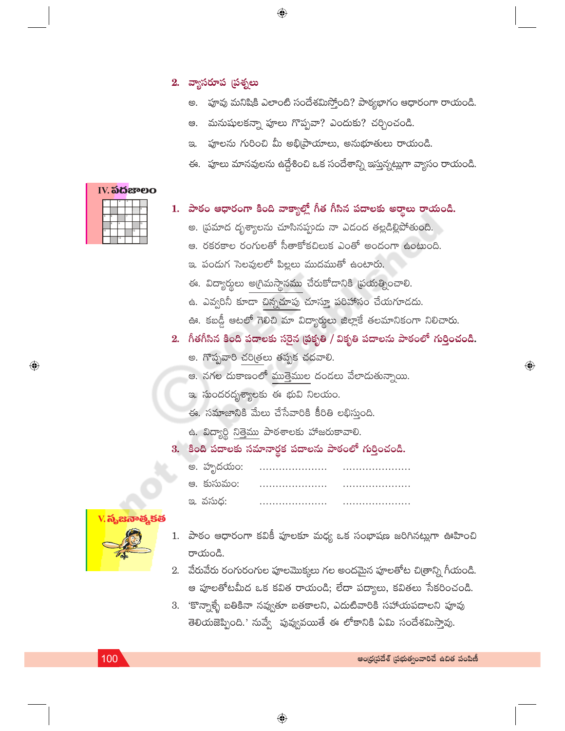## 2. వ్యాసరూప (పశ్నలు

- అ. పూవు మనిషికి ఎలాంటి సందేశమిస్తోంది? పాఠ్యభాగం ఆధారంగా రాయండి.
- మనుషులకన్నా పూలు గొప్పవా? ఎందుకు? చర్చించండి. ප.

 $\bigoplus$ 

- పూలను గురించి మీ అభి[పాయాలు, అనుభూతులు రాయండి. ಇ.
- ఈ. పూలు మానవులను ఉద్దేశించి ఒక సందేశాన్ని ఇస్తున్నట్లుగా వ్యాసం రాయండి.

|  |                 | IV. <b>ಎದೆ</b> ಜಾಲ |    |  |
|--|-----------------|--------------------|----|--|
|  |                 |                    |    |  |
|  |                 |                    |    |  |
|  |                 |                    |    |  |
|  |                 |                    | ١Ġ |  |
|  |                 | 12                 |    |  |
|  | $\overline{13}$ |                    |    |  |

 $\bigoplus$ 

## 1. పాఠం ఆధారంగా కింది వాక్యాల్లో గీత గీసిన పదాలకు అర్థాలు రాయండి.

- అ. (పమాద దృశ్యాలను చూసినప్పుడు నా ఎదంద తల్లడిల్లిపోతుంది.
- ఆ. రకరకాల రంగులతో సీతాకోకచిలుక ఎంతో అందంగా ఉంటుంది.
- ఇ. పండుగ సెలవులలో పిల్లలు ముదముతో ఉంటారు.
- ఈ. విద్యార్శలు అగ్రిమస్థానము చేరుకోడానికి (పయత్నించాలి.
- ఉ. ఎవ్వరినీ కూడా చిన్నచూపు చూస్తూ పరిహాసం చేయగూడదు.
- ఊ. కబడ్డీ ఆటలో గెలిచి మా విద్యార్శలు జిల్లాకే తలమానికంగా నిలిచారు.
- 2. గీతగీసిన కింది పదాలకు సరైన (పకృతి / వికృతి పదాలను పాఠంలో గుర్తించండి.
	- అ. గొప్పవారి చరిత్రలు తప్పక చదవాలి.
	- ఆ. నగల దుకాణంలో ముత్తెముల దండలు వేలాదుతున్నాయి.
	- ఇ. సుందరదృశ్యాలకు ఈ భువి నిలయం.
	- ఈ. సమాజానికి మేలు చేసేవారికి కీరితి లభిస్తుంది.
	- ఉ. విద్యార్థి <u>నిత్తెము</u> పాఠశాలకు హాజరుకావాలి.
- 3. కింది పదాలకు సమానార్థక పదాలను పాఠంలో గుర్తించండి.
	- అ. హృదయం:
	- అ. కుసుమం: ఇ. వసుధ:

- 1. పాఠం ఆధారంగా కవికీ పూలకూ మధ్య ఒక సంభాషణ జరిగినట్లుగా ఊహించి రాయండి.
- 2. వేరువేరు రంగురంగుల పూలమొక్కలు గల అందమైన పూలతోట చి(తాన్ని గీయండి. ఆ పూలతోటమీద ఒక కవిత రాయండి; లేదా పద్యాలు, కవితలు సేకరించండి.
- 3. 'కొన్నాళ్ళే బతికినా నవ్వుతూ బతకాలని, ఎదుటివారికి సహాయపడాలని పూవు తెలియజెప్పింది.' నువ్వే పువ్వవయితే ఈ లోకానికి ఏమి సందేశమిస్తావు.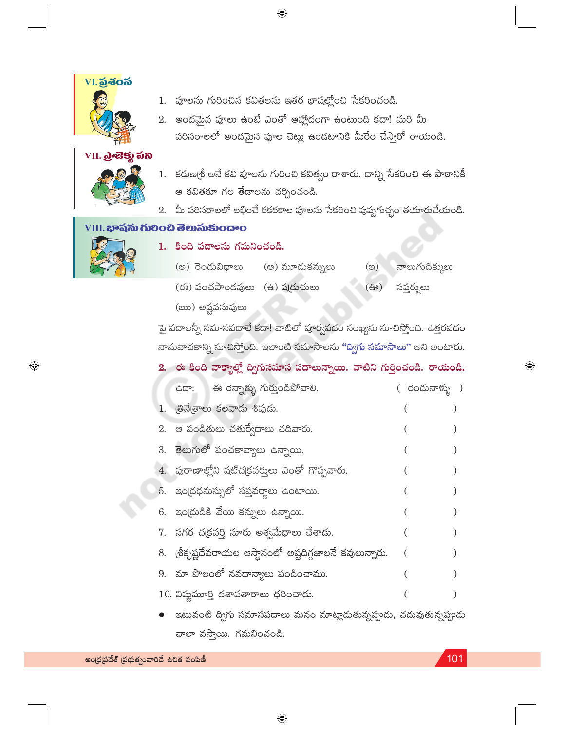VI. **ప్రశంస** 1. పూలను గురించిన కవితలను ఇతర భాషల్లోంచి సేకరించండి. 2. అందమైన పూలు ఉంటే ఎంతో ఆహ్లాదంగా ఉంటుంది కదా! మరి మీ పరిసరాలలో అందమైన పూల చెట్లు ఉండటానికి మీరేం చేస్తారో రాయండి. VII. **ప్రాజెక్లు పని** 1. కరుణ(శీ అనే కవి పూలను గురించి కవిత్వం రాశారు. దాన్ని సేకరించి ఈ పాఠానికీ ఆ కవితకూ గల తేదాలను చర్చించండి.

 $\bigoplus$ 

- 
- 2. మీ పరిసరాలలో లభించే రకరకాల పూలను సేకరించి పుష్పగుచ్చం తయారుచేయండి.

## VIII. **ಭಾ**షను గులించి తెలుసుకుందాం



 $\bigoplus$ 

- 1. కింది పదాలను గమనించండి.
	- (అ) రెండువిధాలు (ఆ) మూడుకన్నులు  $\circleds$ నాలుగుదిక్కులు
	- (ఈ) పంచపాండవులు (ఉ) షుడుచులు  $($ ఊ సప్తర్నలు

(ఋ) అష్టవసువులు

పై పదాలన్నీ సమాసపదాలే కదా! వాటిలో పూర్వపదం సంఖ్యను సూచిస్తోంది. ఉత్తరపదం నామవాచకాన్ని సూచిస్తోంది. ఇలాంటి సమాసాలను "ద్వి**గు సమాసాలు**" అని అంటారు.

# 2. ఈ కింది వాక్యాల్లో ద్విగుసమాస పదాలున్నాయి. వాటిని గుర్తించండి. రాయండి.

|    | ఉదా:     ఈ రెన్నాళ్ళు గుర్తుండిపోవాలి.                     | ( రెండునాక్ను ) |  |
|----|------------------------------------------------------------|-----------------|--|
|    | 1. ట్రినేత్రాలు కలవాడు శివుడు.                             |                 |  |
| 2. | ఆ పండితులు చతుర్వేదాలు చదివారు.                            |                 |  |
|    | 3. తెలుగులో పంచకావ్యాలు ఉన్నాయి.                           |                 |  |
|    | 4. పురాణాల్లోని షట్చక్రవర్తులు ఎంతో గొప్పవారు.             |                 |  |
|    | 5.  ఇం(దధనుస్సులో సప్తవర్ణాలు ఉంటాయి.                      |                 |  |
|    | 6. ఇం(దుడికి వేయి కన్నులు ఉన్నాయి.                         |                 |  |
|    | 7. సగర చక్రవర్తి నూరు అశ్వమేధాలు చేశాదు.                   |                 |  |
|    | 8. (శీకృష్ణదేవరాయల ఆస్థానంలో అష్టదిగ్గజాలనే కవులున్నారు.   |                 |  |
|    | 9. మా పొలంలో నవధాన్యాలు పండించాము.                         |                 |  |
|    | 10. విష్ణమూర్తి దశావతారాలు ధరించాడు.                       |                 |  |
|    | ● …ఇటువంటి ద్వరు సమాపపదాలు మనం మాటాడుతునుపుడు. చదుమతుమపుడు |                 |  |

ఇటువంట ద్వగు సమాసపదాలు మనం మాట్లాదుతున్నప్పుదు, చదువుతున్నప్పుడు చాలా వస్తాయి. గమనించండి.

 $\bigoplus$